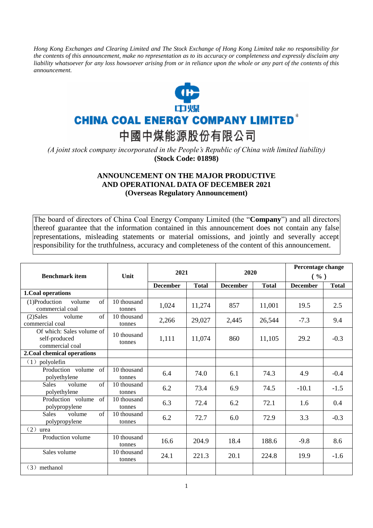*Hong Kong Exchanges and Clearing Limited and The Stock Exchange of Hong Kong Limited take no responsibility for the contents of this announcement, make no representation as to its accuracy or completeness and expressly disclaim any liability whatsoever for any loss howsoever arising from or in reliance upon the whole or any part of the contents of this announcement.*



## **CHINA COAL ENERGY COMPANY LIMITED<sup>\*</sup>**

中國中煤能源股份有限公司

*(A joint stock company incorporated in the People's Republic of China with limited liability)*  **(Stock Code: 01898)**

## **ANNOUNCEMENT ON THE MAJOR PRODUCTIVE AND OPERATIONAL DATA OF DECEMBER 2021 (Overseas Regulatory Announcement)**

The board of directors of China Coal Energy Company Limited (the "**Company**") and all directors thereof guarantee that the information contained in this announcement does not contain any false representations, misleading statements or material omissions, and jointly and severally accept responsibility for the truthfulness, accuracy and completeness of the content of this announcement.

| <b>Benchmark item</b>                                         | Unit                  | 2021            |              | 2020            |              | Percentage change<br>$($ %) |              |
|---------------------------------------------------------------|-----------------------|-----------------|--------------|-----------------|--------------|-----------------------------|--------------|
|                                                               |                       | <b>December</b> | <b>Total</b> | <b>December</b> | <b>Total</b> | <b>December</b>             | <b>Total</b> |
| 1. Coal operations                                            |                       |                 |              |                 |              |                             |              |
| $(1)$ Production<br>volume<br>$\sigma$ f<br>commercial coal   | 10 thousand<br>tonnes | 1,024           | 11,274       | 857             | 11,001       | 19.5                        | 2.5          |
| of<br>$(2)$ Sales<br>volume<br>commercial coal                | 10 thousand<br>tonnes | 2,266           | 29,027       | 2,445           | 26,544       | $-7.3$                      | 9.4          |
| Of which: Sales volume of<br>self-produced<br>commercial coal | 10 thousand<br>tonnes | 1,111           | 11,074       | 860             | 11,105       | 29.2                        | $-0.3$       |
| 2. Coal chemical operations                                   |                       |                 |              |                 |              |                             |              |
| (1)<br>polyolefin                                             |                       |                 |              |                 |              |                             |              |
| Production volume<br>$\sigma$<br>polyethylene                 | 10 thousand<br>tonnes | 6.4             | 74.0         | 6.1             | 74.3         | 4.9                         | $-0.4$       |
| of<br><b>Sales</b><br>volume<br>polyethylene                  | 10 thousand<br>tonnes | 6.2             | 73.4         | 6.9             | 74.5         | $-10.1$                     | $-1.5$       |
| Production volume<br>$\sigma$ f<br>polypropylene              | 10 thousand<br>tonnes | 6.3             | 72.4         | 6.2             | 72.1         | 1.6                         | 0.4          |
| of<br><b>Sales</b><br>volume<br>polypropylene                 | 10 thousand<br>tonnes | 6.2             | 72.7         | 6.0             | 72.9         | 3.3                         | $-0.3$       |
| (2)<br>urea                                                   |                       |                 |              |                 |              |                             |              |
| Production volume                                             | 10 thousand<br>tonnes | 16.6            | 204.9        | 18.4            | 188.6        | $-9.8$                      | 8.6          |
| Sales volume                                                  | 10 thousand<br>tonnes | 24.1            | 221.3        | 20.1            | 224.8        | 19.9                        | $-1.6$       |
| $(3)$ methanol                                                |                       |                 |              |                 |              |                             |              |